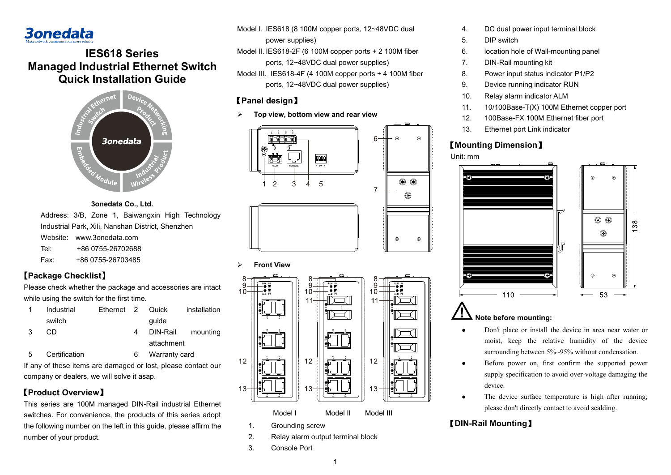# **3onedata**

# **IES618 Series Managed Industrial Ethernet Switch Quick Installation Guide**



### **3onedata Co., Ltd.** Address: 3/B, Zone 1, Baiwangxin High Technology Industrial Park, Xili, Nanshan District, Shenzhen Website: www.3onedata.com Tel: +86 0755-26702688 Fax: +86 0755-26703485

### **【Package Checklist】**

Please check whether the package and accessories are intact while using the switch for the first time.

|   | Industrial | Ethernet 2 Quick |            | installation |
|---|------------|------------------|------------|--------------|
|   | switch     |                  | quide      |              |
| 3 | CD.        |                  | DIN-Rail   | mounting     |
|   |            |                  | attachment |              |
|   |            |                  |            |              |

- 5 Certification 6 Warranty card
	-

If any of these items are damaged or lost, please contact our company or dealers, we will solve it asap.

### 【**Product Overview**】

This series are 100M managed DIN-Rail industrial Ethernet switches. For convenience, the products of this series adopt the following number on the left in this guide, please affirm the number of your product.

Model I. IES618 (8 100M copper ports, 12~48VDC dual power supplies)

Model II. IES618-2F (6 100M copper ports + 2 100M fiber ports, 12~48VDC dual power supplies)

Model III. IES618-4F (4 100M copper ports + 4 100M fiber ports, 12~48VDC dual power supplies)

### 【**Panel design**】

**Top view, bottom view and rear view**



**Front View**



- 2. Relay alarm output terminal block
- 3. Console Port
- 4. DC dual power input terminal block
- 5. DIP switch
- 6. location hole of Wall-mounting panel
- 7. DIN-Rail mounting kit
- 8. Power input status indicator P1/P2
- 9. Device running indicator RUN
- 10. Relay alarm indicator ALM
- 11. 10/100Base-T(X) 100M Ethernet copper port
- 12. 100Base-FX 100M Ethernet fiber port
- 13. Ethernet port Link indicator

## 【**Mounting Dimension**】





#### <u>' !</u> **Note before mounting:**

- Don't place or install the device in area near water or moist, keep the relative humidity of the device surrounding between 5%~95% without condensation.
- Before power on, first confirm the supported power supply specification to avoid over-voltage damaging the device.
- The device surface temperature is high after running; please don't directly contact to avoid scalding.

# 【**DIN-Rail Mounting**】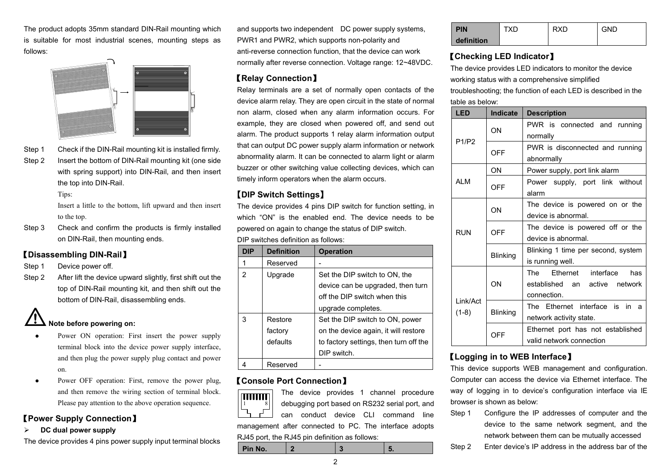The product adopts 35mm standard DIN-Rail mounting which is suitable for most industrial scenes, mounting steps as follows:



- 
- Step 1 Check if the DIN-Rail mounting kit is installed firmly. Step 2 Insert the bottom of DIN-Rail mounting kit (one side with spring support) into DIN-Rail, and then insert

Tips:

the top into DIN-Rail.

Insert a little to the bottom, lift upward and then insert to the top.

Step 3 Check and confirm the products is firmly installed on DIN-Rail, then mounting ends.

### 【**Disassembling DIN-Rail**】

- Step 1 Device power off.
- Step 2 After lift the device upward slightly, first shift out the top of DIN-Rail mounting kit, and then shift out the bottom of DIN-Rail, disassembling ends.

# **Note before powering on:**

- Power ON operation: First insert the power supply terminal block into the device power supply interface, and then plug the power supply plug contact and power on.
- Power OFF operation: First, remove the power plug, and then remove the wiring section of terminal block. Please pay attention to the above operation sequence.

### 【**Power Supply Connection**】

#### **DC dual power supply**

The device provides 4 pins power supply input terminal blocks

and supports two independent DC power supply systems, PWR1 and PWR2, which supports non-polarity and anti-reverse connection function, that the device can work normally after reverse connection. Voltage range: 12~48VDC.

### 【**Relay Connection**】

Relay terminals are a set of normally open contacts of the device alarm relay. They are open circuit in the state of normal non alarm, closed when any alarm information occurs. For example, they are closed when powered off, and send out alarm. The product supports 1 relay alarm information output that can output DC power supply alarm information or network abnormality alarm. It can be connected to alarm light or alarm buzzer or other switching value collecting devices, which can timely inform operators when the alarm occurs.

### **【DIP Switch Settings】**

The device provides 4 pins DIP switch for function setting, in which "ON" is the enabled end. The device needs to be powered on again to change the status of DIP switch. DIP switches definition as follows:

| <b>DIP</b> | <b>Definition</b> | <b>Operation</b>                       |
|------------|-------------------|----------------------------------------|
| 1          | Reserved          |                                        |
| 2          | Upgrade           | Set the DIP switch to ON, the          |
|            |                   | device can be upgraded, then turn      |
|            |                   | off the DIP switch when this           |
|            |                   | upgrade completes.                     |
| 3          | Restore           | Set the DIP switch to ON, power        |
|            | factory           | on the device again, it will restore   |
|            | defaults          | to factory settings, then turn off the |
|            |                   | DIP switch.                            |
|            | Reserved          |                                        |

### 【**Console Port Connection**】



The device provides 1 channel procedure debugging port based on RS232 serial port, and can conduct device CLI command line management after connected to PC. The interface adopts RJ45 port, the RJ45 pin definition as follows:

| Pin No. |  |  |
|---------|--|--|
|         |  |  |

| <b>PIN</b> | TXD | <b>RXD</b> | <b>GND</b> |
|------------|-----|------------|------------|
| definition |     |            |            |

### 【**Checking LED Indicator**】

The device provides LED indicators to monitor the device working status with a comprehensive simplified troubleshooting; the function of each LED is described in the table as below:

| <b>LED</b>          | Indicate   | <b>Description</b>                                                            |
|---------------------|------------|-------------------------------------------------------------------------------|
|                     | ON         | PWR is connected and running<br>normally                                      |
| P1/P2<br><b>ALM</b> | <b>OFF</b> | PWR is disconnected and running<br>abnormally                                 |
|                     | ON         | Power supply, port link alarm                                                 |
|                     | <b>OFF</b> | Power supply, port link without<br>alarm                                      |
| <b>RUN</b>          | ON         | The device is powered on or the<br>device is abnormal.                        |
|                     | OFF        | The device is powered off or the<br>device is abnormal.                       |
|                     | Blinking   | Blinking 1 time per second, system<br>is running well.                        |
| Link/Act<br>$(1-8)$ | ON         | The Ethernet interface<br>has<br>established an active network<br>connection. |
|                     | Blinking   | The Ethernet interface is in<br>a<br>network activity state.                  |
|                     | OFF        | Ethernet port has not established<br>valid network connection                 |

### 【**Logging in to WEB Interface**】

This device supports WEB management and configuration. Computer can access the device via Ethernet interface. The way of logging in to device's configuration interface via IE browser is shown as below:

- Step 1 Configure the IP addresses of computer and the device to the same network segment, and the network between them can be mutually accessed
- Step 2 Enter device's IP address in the address bar of the